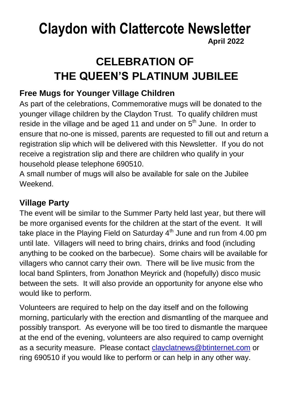### **Claydon with Clattercote Newsletter April 2022**

## **CELEBRATION OF THE QUEEN'S PLATINUM JUBILEE**

#### **Free Mugs for Younger Village Children**

As part of the celebrations, Commemorative mugs will be donated to the younger village children by the Claydon Trust. To qualify children must reside in the village and be aged 11 and under on 5<sup>th</sup> June. In order to ensure that no-one is missed, parents are requested to fill out and return a registration slip which will be delivered with this Newsletter. If you do not receive a registration slip and there are children who qualify in your household please telephone 690510.

A small number of mugs will also be available for sale on the Jubilee Weekend.

#### **Village Party**

The event will be similar to the Summer Party held last year, but there will be more organised events for the children at the start of the event. It will take place in the Playing Field on Saturday  $4<sup>th</sup>$  June and run from 4.00 pm until late. Villagers will need to bring chairs, drinks and food (including anything to be cooked on the barbecue). Some chairs will be available for villagers who cannot carry their own. There will be live music from the local band Splinters, from Jonathon Meyrick and (hopefully) disco music between the sets. It will also provide an opportunity for anyone else who would like to perform.

Volunteers are required to help on the day itself and on the following morning, particularly with the erection and dismantling of the marquee and possibly transport. As everyone will be too tired to dismantle the marquee at the end of the evening, volunteers are also required to camp overnight as a security measure. Please contact [clayclatnews@btinternet.com](mailto:clayclatnews@btinternet.com) or ring 690510 if you would like to perform or can help in any other way.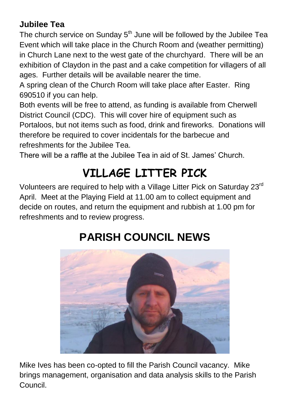#### **Jubilee Tea**

The church service on Sunday  $5<sup>th</sup>$  June will be followed by the Jubilee Tea Event which will take place in the Church Room and (weather permitting) in Church Lane next to the west gate of the churchyard. There will be an exhibition of Claydon in the past and a cake competition for villagers of all ages. Further details will be available nearer the time.

A spring clean of the Church Room will take place after Easter. Ring 690510 if you can help.

Both events will be free to attend, as funding is available from Cherwell District Council (CDC). This will cover hire of equipment such as Portaloos, but not items such as food, drink and fireworks. Donations will therefore be required to cover incidentals for the barbecue and refreshments for the Jubilee Tea.

There will be a raffle at the Jubilee Tea in aid of St. James' Church.

## **VILLAGE LITTER PICK**

Volunteers are required to help with a Village Litter Pick on Saturday 23rd April. Meet at the Playing Field at 11.00 am to collect equipment and decide on routes, and return the equipment and rubbish at 1.00 pm for refreshments and to review progress.



## **PARISH COUNCIL NEWS**

Mike Ives has been co-opted to fill the Parish Council vacancy. Mike brings management, organisation and data analysis skills to the Parish Council.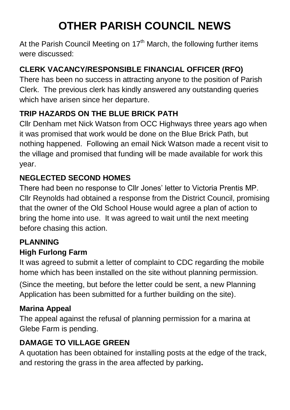## **OTHER PARISH COUNCIL NEWS**

At the Parish Council Meeting on  $17<sup>th</sup>$  March, the following further items were discussed:

#### **CLERK VACANCY/RESPONSIBLE FINANCIAL OFFICER (RFO)**

There has been no success in attracting anyone to the position of Parish Clerk. The previous clerk has kindly answered any outstanding queries which have arisen since her departure.

#### **TRIP HAZARDS ON THE BLUE BRICK PATH**

Cllr Denham met Nick Watson from OCC Highways three years ago when it was promised that work would be done on the Blue Brick Path, but nothing happened. Following an email Nick Watson made a recent visit to the village and promised that funding will be made available for work this year.

#### **NEGLECTED SECOND HOMES**

There had been no response to Cllr Jones' letter to Victoria Prentis MP. Cllr Reynolds had obtained a response from the District Council, promising that the owner of the Old School House would agree a plan of action to bring the home into use. It was agreed to wait until the next meeting before chasing this action.

#### **PLANNING**

#### **High Furlong Farm**

It was agreed to submit a letter of complaint to CDC regarding the mobile home which has been installed on the site without planning permission.

(Since the meeting, but before the letter could be sent, a new Planning Application has been submitted for a further building on the site).

#### **Marina Appeal**

The appeal against the refusal of planning permission for a marina at Glebe Farm is pending.

#### **DAMAGE TO VILLAGE GREEN**

A quotation has been obtained for installing posts at the edge of the track, and restoring the grass in the area affected by parking**.**